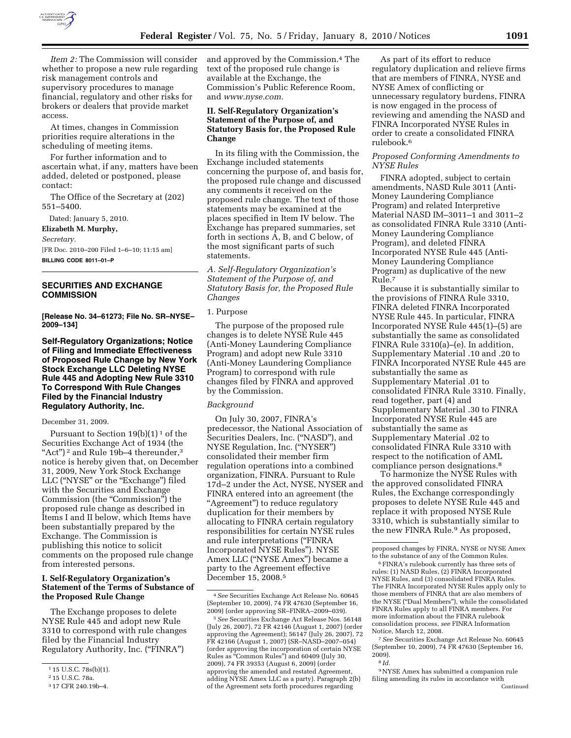

*Item 2:* The Commission will consider whether to propose a new rule regarding risk management controls and supervisory procedures to manage financial, regulatory and other risks for brokers or dealers that provide market access.

At times, changes in Commission priorities require alterations in the scheduling of meeting items.

For further information and to ascertain what, if any, matters have been added, deleted or postponed, please contact:

The Office of the Secretary at (202) 551–5400.

Dated: January 5, 2010.

**Elizabeth M. Murphy,** 

*Secretary.* 

[FR Doc. 2010–200 Filed 1–6–10; 11:15 am] **BILLING CODE 8011–01–P** 

# **SECURITIES AND EXCHANGE COMMISSION**

**[Release No. 34–61273; File No. SR–NYSE– 2009–134]** 

**Self-Regulatory Organizations; Notice of Filing and Immediate Effectiveness of Proposed Rule Change by New York Stock Exchange LLC Deleting NYSE Rule 445 and Adopting New Rule 3310 To Correspond With Rule Changes Filed by the Financial Industry Regulatory Authority, Inc.** 

## December 31, 2009.

Pursuant to Section  $19(b)(1)^1$  of the Securities Exchange Act of 1934 (the "Act")<sup>2</sup> and Rule 19b-4 thereunder,<sup>3</sup> notice is hereby given that, on December 31, 2009, New York Stock Exchange LLC ("NYSE" or the "Exchange") filed with the Securities and Exchange Commission (the "Commission") the proposed rule change as described in Items I and II below, which Items have been substantially prepared by the Exchange. The Commission is publishing this notice to solicit comments on the proposed rule change from interested persons.

# **I. Self-Regulatory Organization's Statement of the Terms of Substance of the Proposed Rule Change**

The Exchange proposes to delete NYSE Rule 445 and adopt new Rule 3310 to correspond with rule changes filed by the Financial Industry Regulatory Authority, Inc. (''FINRA'')

and approved by the Commission.4 The text of the proposed rule change is available at the Exchange, the Commission's Public Reference Room, and *www.nyse.com.* 

# **II. Self-Regulatory Organization's Statement of the Purpose of, and Statutory Basis for, the Proposed Rule Change**

In its filing with the Commission, the Exchange included statements concerning the purpose of, and basis for, the proposed rule change and discussed any comments it received on the proposed rule change. The text of those statements may be examined at the places specified in Item IV below. The Exchange has prepared summaries, set forth in sections A, B, and C below, of the most significant parts of such statements.

*A. Self-Regulatory Organization's Statement of the Purpose of, and Statutory Basis for, the Proposed Rule Changes* 

# 1. Purpose

The purpose of the proposed rule changes is to delete NYSE Rule 445 (Anti-Money Laundering Compliance Program) and adopt new Rule 3310 (Anti-Money Laundering Compliance Program) to correspond with rule changes filed by FINRA and approved by the Commission.

### *Background*

On July 30, 2007, FINRA's predecessor, the National Association of Securities Dealers, Inc. (''NASD''), and NYSE Regulation, Inc. (''NYSER'') consolidated their member firm regulation operations into a combined organization, FINRA. Pursuant to Rule 17d–2 under the Act, NYSE, NYSER and FINRA entered into an agreement (the "Agreement") to reduce regulatory duplication for their members by allocating to FINRA certain regulatory responsibilities for certain NYSE rules and rule interpretations (''FINRA Incorporated NYSE Rules''). NYSE Amex LLC (''NYSE Amex'') became a party to the Agreement effective December 15, 2008.5

As part of its effort to reduce regulatory duplication and relieve firms that are members of FINRA, NYSE and NYSE Amex of conflicting or unnecessary regulatory burdens, FINRA is now engaged in the process of reviewing and amending the NASD and FINRA Incorporated NYSE Rules in order to create a consolidated FINRA rulebook.6

### *Proposed Conforming Amendments to NYSE Rules*

FINRA adopted, subject to certain amendments, NASD Rule 3011 (Anti-Money Laundering Compliance Program) and related Interpretive Material NASD IM–3011–1 and 3011–2 as consolidated FINRA Rule 3310 (Anti-Money Laundering Compliance Program), and deleted FINRA Incorporated NYSE Rule 445 (Anti-Money Laundering Compliance Program) as duplicative of the new Rule.7

Because it is substantially similar to the provisions of FINRA Rule 3310, FINRA deleted FINRA Incorporated NYSE Rule 445. In particular, FINRA Incorporated NYSE Rule 445(1)–(5) are substantially the same as consolidated FINRA Rule 3310(a)–(e). In addition, Supplementary Material .10 and .20 to FINRA Incorporated NYSE Rule 445 are substantially the same as Supplementary Material .01 to consolidated FINRA Rule 3310. Finally, read together, part (4) and Supplementary Material .30 to FINRA Incorporated NYSE Rule 445 are substantially the same as Supplementary Material .02 to consolidated FINRA Rule 3310 with respect to the notification of AML compliance person designations.8

To harmonize the NYSE Rules with the approved consolidated FINRA Rules, the Exchange correspondingly proposes to delete NYSE Rule 445 and replace it with proposed NYSE Rule 3310, which is substantially similar to the new FINRA Rule.9 As proposed,

7*See* Securities Exchange Act Release No. 60645 (September 10, 2009), 74 FR 47630 (September 16, 2009).

9NYSE Amex has submitted a companion rule filing amending its rules in accordance with Continued

<sup>1</sup> 15 U.S.C. 78s(b)(1).

<sup>2</sup> 15 U.S.C. 78a.

<sup>3</sup> 17 CFR 240.19b–4.

<sup>4</sup>*See* Securities Exchange Act Release No. 60645 (September 10, 2009), 74 FR 47630 (September 16, 2009) (order approving SR–FINRA–2009–039).

<sup>5</sup>*See* Securities Exchange Act Release Nos. 56148 (July 26, 2007), 72 FR 42146 (August 1, 2007) (order approving the Agreement); 56147 (July 26, 2007), 72 FR 42166 (August 1, 2007) (SR–NASD–2007–054) (order approving the incorporation of certain NYSE Rules as ''Common Rules'') and 60409 (July 30, 2009), 74 FR 39353 (August 6, 2009) (order approving the amended and restated Agreement, adding NYSE Amex LLC as a party). Paragraph 2(b) of the Agreement sets forth procedures regarding

proposed changes by FINRA, NYSE or NYSE Amex to the substance of any of the Common Rules.

<sup>6</sup>FINRA's rulebook currently has three sets of rules: (1) NASD Rules, (2) FINRA Incorporated NYSE Rules, and (3) consolidated FINRA Rules. The FINRA Incorporated NYSE Rules apply only to those members of FINRA that are also members of the NYSE (''Dual Members''), while the consolidated FINRA Rules apply to all FINRA members. For more information about the FINRA rulebook consolidation process, *see* FINRA Information Notice, March 12, 2008.

<sup>8</sup> *Id.*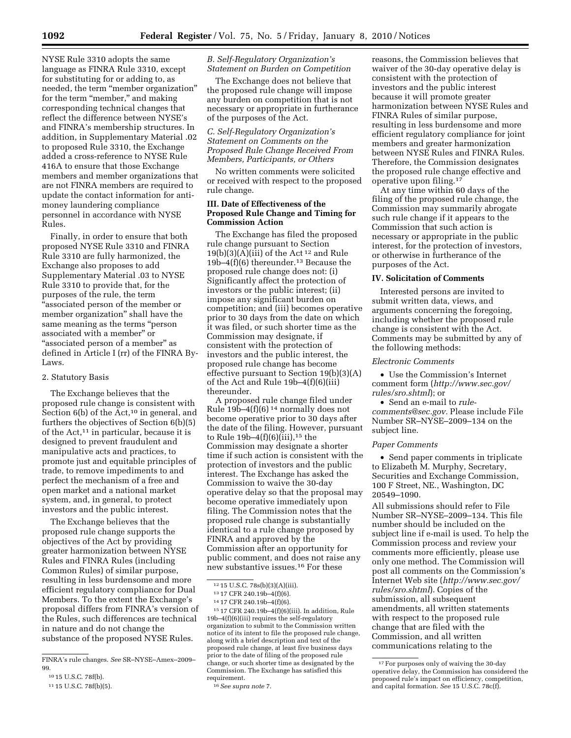NYSE Rule 3310 adopts the same language as FINRA Rule 3310, except for substituting for or adding to, as needed, the term ''member organization'' for the term "member," and making corresponding technical changes that reflect the difference between NYSE's and FINRA's membership structures. In addition, in Supplementary Material .02 to proposed Rule 3310, the Exchange added a cross-reference to NYSE Rule 416A to ensure that those Exchange members and member organizations that are not FINRA members are required to update the contact information for antimoney laundering compliance personnel in accordance with NYSE Rules.

Finally, in order to ensure that both proposed NYSE Rule 3310 and FINRA Rule 3310 are fully harmonized, the Exchange also proposes to add Supplementary Material .03 to NYSE Rule 3310 to provide that, for the purposes of the rule, the term ''associated person of the member or member organization'' shall have the same meaning as the terms "person associated with a member'' or "associated person of a member" as defined in Article I (rr) of the FINRA By-Laws.

### 2. Statutory Basis

The Exchange believes that the proposed rule change is consistent with Section  $6(b)$  of the Act,<sup>10</sup> in general, and furthers the objectives of Section 6(b)(5) of the Act,<sup>11</sup> in particular, because it is designed to prevent fraudulent and manipulative acts and practices, to promote just and equitable principles of trade, to remove impediments to and perfect the mechanism of a free and open market and a national market system, and, in general, to protect investors and the public interest.

The Exchange believes that the proposed rule change supports the objectives of the Act by providing greater harmonization between NYSE Rules and FINRA Rules (including Common Rules) of similar purpose, resulting in less burdensome and more efficient regulatory compliance for Dual Members. To the extent the Exchange's proposal differs from FINRA's version of the Rules, such differences are technical in nature and do not change the substance of the proposed NYSE Rules.

## *B. Self-Regulatory Organization's Statement on Burden on Competition*

The Exchange does not believe that the proposed rule change will impose any burden on competition that is not necessary or appropriate in furtherance of the purposes of the Act.

## *C. Self-Regulatory Organization's Statement on Comments on the Proposed Rule Change Received From Members, Participants, or Others*

No written comments were solicited or received with respect to the proposed rule change.

# **III. Date of Effectiveness of the Proposed Rule Change and Timing for Commission Action**

The Exchange has filed the proposed rule change pursuant to Section  $19(b)(3)(A)(iii)$  of the Act<sup>12</sup> and Rule 19b–4(f)(6) thereunder.13 Because the proposed rule change does not: (i) Significantly affect the protection of investors or the public interest; (ii) impose any significant burden on competition; and (iii) becomes operative prior to 30 days from the date on which it was filed, or such shorter time as the Commission may designate, if consistent with the protection of investors and the public interest, the proposed rule change has become effective pursuant to Section 19(b)(3)(A) of the Act and Rule 19b–4(f)(6)(iii) thereunder.

A proposed rule change filed under Rule 19b–4 $(f)(6)^{14}$  normally does not become operative prior to 30 days after the date of the filing. However, pursuant to Rule  $19b-4(f)(6)(iii)$ ,<sup>15</sup> the Commission may designate a shorter time if such action is consistent with the protection of investors and the public interest. The Exchange has asked the Commission to waive the 30-day operative delay so that the proposal may become operative immediately upon filing. The Commission notes that the proposed rule change is substantially identical to a rule change proposed by FINRA and approved by the Commission after an opportunity for public comment, and does not raise any new substantive issues.16 For these

15 17 CFR 240.19b–4(f)(6)(iii). In addition, Rule 19b–4(f)(6)(iii) requires the self-regulatory organization to submit to the Commission written notice of its intent to file the proposed rule change, along with a brief description and text of the proposed rule change, at least five business days prior to the date of filing of the proposed rule change, or such shorter time as designated by the Commission. The Exchange has satisfied this requirement.

reasons, the Commission believes that waiver of the 30-day operative delay is consistent with the protection of investors and the public interest because it will promote greater harmonization between NYSE Rules and FINRA Rules of similar purpose, resulting in less burdensome and more efficient regulatory compliance for joint members and greater harmonization between NYSE Rules and FINRA Rules. Therefore, the Commission designates the proposed rule change effective and operative upon filing.17

At any time within 60 days of the filing of the proposed rule change, the Commission may summarily abrogate such rule change if it appears to the Commission that such action is necessary or appropriate in the public interest, for the protection of investors, or otherwise in furtherance of the purposes of the Act.

### **IV. Solicitation of Comments**

Interested persons are invited to submit written data, views, and arguments concerning the foregoing, including whether the proposed rule change is consistent with the Act. Comments may be submitted by any of the following methods:

#### *Electronic Comments*

• Use the Commission's Internet comment form (*http://www.sec.gov/ rules/sro.shtml*); or

• Send an e-mail to *rulecomments@sec.gov.* Please include File Number SR–NYSE–2009–134 on the subject line.

### *Paper Comments*

• Send paper comments in triplicate to Elizabeth M. Murphy, Secretary, Securities and Exchange Commission, 100 F Street, NE., Washington, DC 20549–1090.

All submissions should refer to File Number SR–NYSE–2009–134. This file number should be included on the subject line if e-mail is used. To help the Commission process and review your comments more efficiently, please use only one method. The Commission will post all comments on the Commission's Internet Web site (*http://www.sec.gov/ rules/sro.shtml*). Copies of the submission, all subsequent amendments, all written statements with respect to the proposed rule change that are filed with the Commission, and all written communications relating to the

FINRA's rule changes. *See* SR–NYSE–Amex–2009– 99.

<sup>10</sup> 15 U.S.C. 78f(b).

<sup>11</sup> 15 U.S.C. 78f(b)(5).

<sup>12</sup> 15 U.S.C. 78s(b)(3)(A)(iii).

<sup>13</sup> 17 CFR 240.19b–4(f)(6).

<sup>14</sup> 17 CFR 240.19b–4(f)(6).

<sup>16</sup>*See supra note* 7.

<sup>17</sup>For purposes only of waiving the 30-day operative delay, the Commission has considered the proposed rule's impact on efficiency, competition, and capital formation. *See* 15 U.S.C. 78c(f).